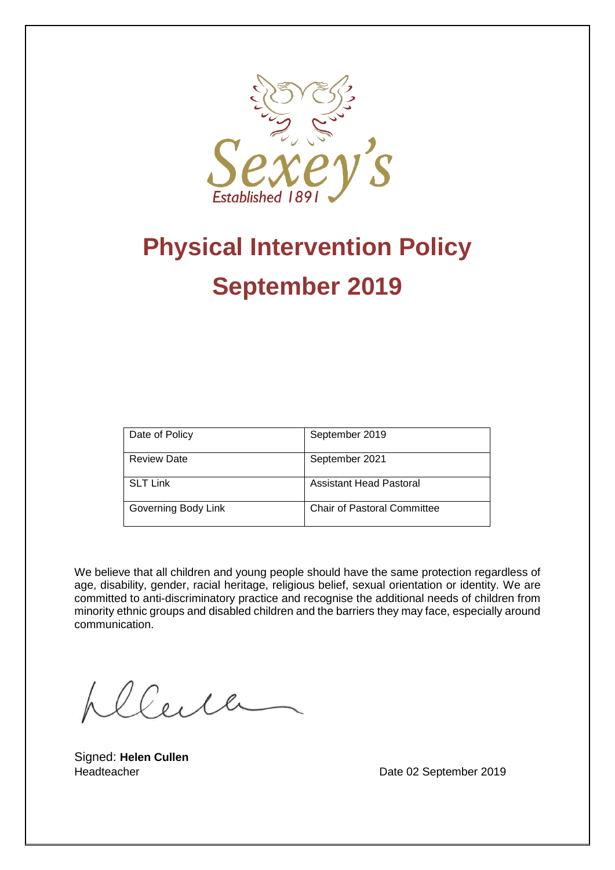

# **Physical Intervention Policy September 2019**

| Date of Policy      | September 2019                     |
|---------------------|------------------------------------|
| <b>Review Date</b>  | September 2021                     |
| <b>SLT Link</b>     | Assistant Head Pastoral            |
| Governing Body Link | <b>Chair of Pastoral Committee</b> |

We believe that all children and young people should have the same protection regardless of age, disability, gender, racial heritage, religious belief, sexual orientation or identity. We are committed to anti-discriminatory practice and recognise the additional needs of children from minority ethnic groups and disabled children and the barriers they may face, especially around communication.

plleire

Signed: **Helen Cullen**

Headteacher **Date 02 September 2019**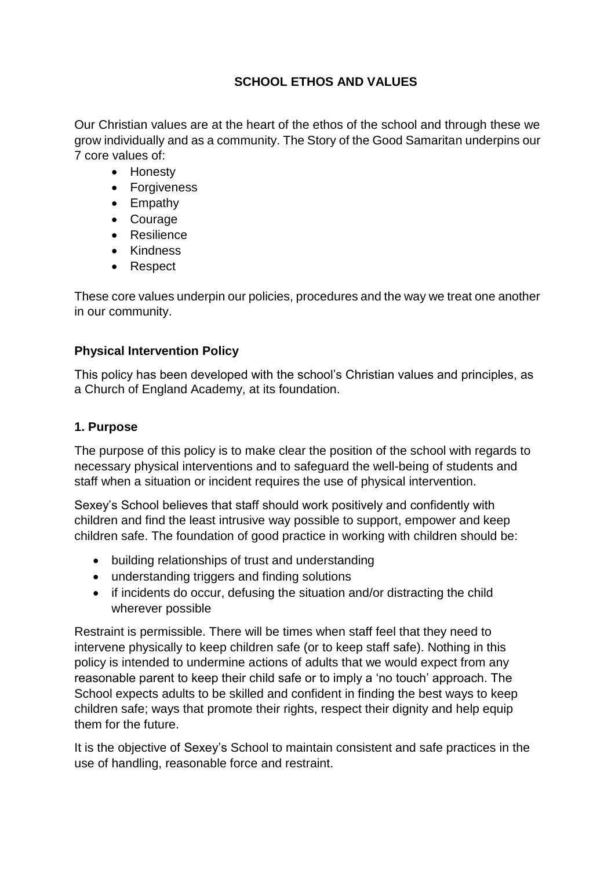# **SCHOOL ETHOS AND VALUES**

Our Christian values are at the heart of the ethos of the school and through these we grow individually and as a community. The Story of the Good Samaritan underpins our 7 core values of:

- Honesty
- Forgiveness
- Empathy
- Courage
- **•** Resilience
- Kindness
- Respect

These core values underpin our policies, procedures and the way we treat one another in our community.

# **Physical Intervention Policy**

This policy has been developed with the school's Christian values and principles, as a Church of England Academy, at its foundation.

# **1. Purpose**

The purpose of this policy is to make clear the position of the school with regards to necessary physical interventions and to safeguard the well-being of students and staff when a situation or incident requires the use of physical intervention.

Sexey's School believes that staff should work positively and confidently with children and find the least intrusive way possible to support, empower and keep children safe. The foundation of good practice in working with children should be:

- building relationships of trust and understanding
- understanding triggers and finding solutions
- if incidents do occur, defusing the situation and/or distracting the child wherever possible

Restraint is permissible. There will be times when staff feel that they need to intervene physically to keep children safe (or to keep staff safe). Nothing in this policy is intended to undermine actions of adults that we would expect from any reasonable parent to keep their child safe or to imply a 'no touch' approach. The School expects adults to be skilled and confident in finding the best ways to keep children safe; ways that promote their rights, respect their dignity and help equip them for the future.

It is the objective of Sexey's School to maintain consistent and safe practices in the use of handling, reasonable force and restraint.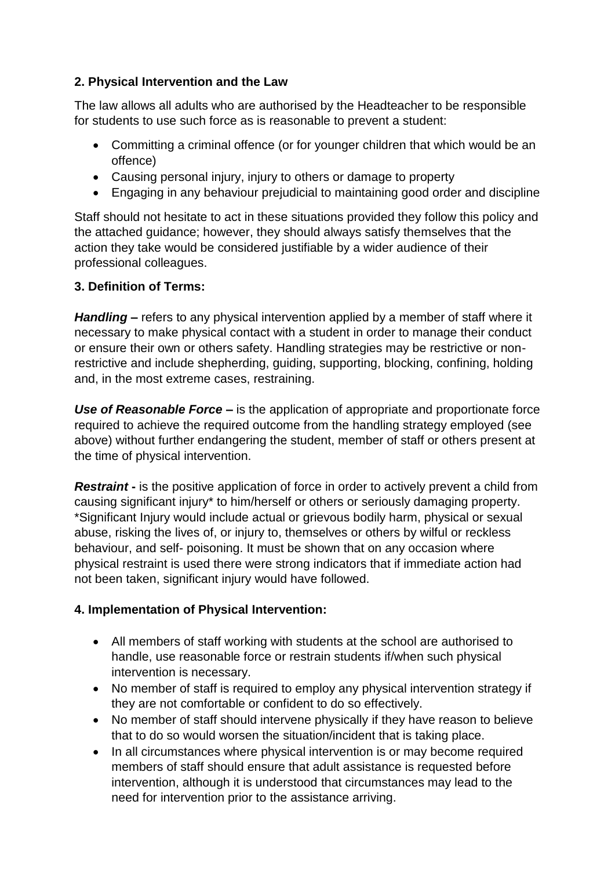# **2. Physical Intervention and the Law**

The law allows all adults who are authorised by the Headteacher to be responsible for students to use such force as is reasonable to prevent a student:

- Committing a criminal offence (or for younger children that which would be an offence)
- Causing personal injury, injury to others or damage to property
- Engaging in any behaviour prejudicial to maintaining good order and discipline

Staff should not hesitate to act in these situations provided they follow this policy and the attached guidance; however, they should always satisfy themselves that the action they take would be considered justifiable by a wider audience of their professional colleagues.

# **3. Definition of Terms:**

*Handling* **–** refers to any physical intervention applied by a member of staff where it necessary to make physical contact with a student in order to manage their conduct or ensure their own or others safety. Handling strategies may be restrictive or nonrestrictive and include shepherding, guiding, supporting, blocking, confining, holding and, in the most extreme cases, restraining.

*Use of Reasonable Force* **–** is the application of appropriate and proportionate force required to achieve the required outcome from the handling strategy employed (see above) without further endangering the student, member of staff or others present at the time of physical intervention.

*Restraint* - is the positive application of force in order to actively prevent a child from causing significant injury\* to him/herself or others or seriously damaging property. \*Significant Injury would include actual or grievous bodily harm, physical or sexual abuse, risking the lives of, or injury to, themselves or others by wilful or reckless behaviour, and self- poisoning. It must be shown that on any occasion where physical restraint is used there were strong indicators that if immediate action had not been taken, significant injury would have followed.

# **4. Implementation of Physical Intervention:**

- All members of staff working with students at the school are authorised to handle, use reasonable force or restrain students if/when such physical intervention is necessary.
- No member of staff is required to employ any physical intervention strategy if they are not comfortable or confident to do so effectively.
- No member of staff should intervene physically if they have reason to believe that to do so would worsen the situation/incident that is taking place.
- In all circumstances where physical intervention is or may become required members of staff should ensure that adult assistance is requested before intervention, although it is understood that circumstances may lead to the need for intervention prior to the assistance arriving.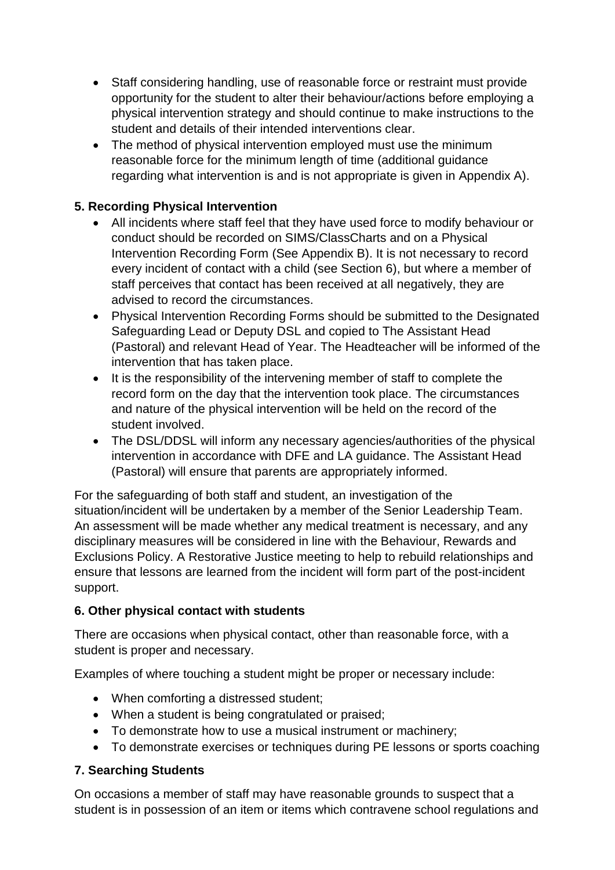- Staff considering handling, use of reasonable force or restraint must provide opportunity for the student to alter their behaviour/actions before employing a physical intervention strategy and should continue to make instructions to the student and details of their intended interventions clear.
- The method of physical intervention employed must use the minimum reasonable force for the minimum length of time (additional guidance regarding what intervention is and is not appropriate is given in Appendix A).

# **5. Recording Physical Intervention**

- All incidents where staff feel that they have used force to modify behaviour or conduct should be recorded on SIMS/ClassCharts and on a Physical Intervention Recording Form (See Appendix B). It is not necessary to record every incident of contact with a child (see Section 6), but where a member of staff perceives that contact has been received at all negatively, they are advised to record the circumstances.
- Physical Intervention Recording Forms should be submitted to the Designated Safeguarding Lead or Deputy DSL and copied to The Assistant Head (Pastoral) and relevant Head of Year. The Headteacher will be informed of the intervention that has taken place.
- It is the responsibility of the intervening member of staff to complete the record form on the day that the intervention took place. The circumstances and nature of the physical intervention will be held on the record of the student involved.
- The DSL/DDSL will inform any necessary agencies/authorities of the physical intervention in accordance with DFE and LA guidance. The Assistant Head (Pastoral) will ensure that parents are appropriately informed.

For the safeguarding of both staff and student, an investigation of the situation/incident will be undertaken by a member of the Senior Leadership Team. An assessment will be made whether any medical treatment is necessary, and any disciplinary measures will be considered in line with the Behaviour, Rewards and Exclusions Policy. A Restorative Justice meeting to help to rebuild relationships and ensure that lessons are learned from the incident will form part of the post-incident support.

# **6. Other physical contact with students**

There are occasions when physical contact, other than reasonable force, with a student is proper and necessary.

Examples of where touching a student might be proper or necessary include:

- When comforting a distressed student;
- When a student is being congratulated or praised;
- To demonstrate how to use a musical instrument or machinery;
- To demonstrate exercises or techniques during PE lessons or sports coaching

# **7. Searching Students**

On occasions a member of staff may have reasonable grounds to suspect that a student is in possession of an item or items which contravene school regulations and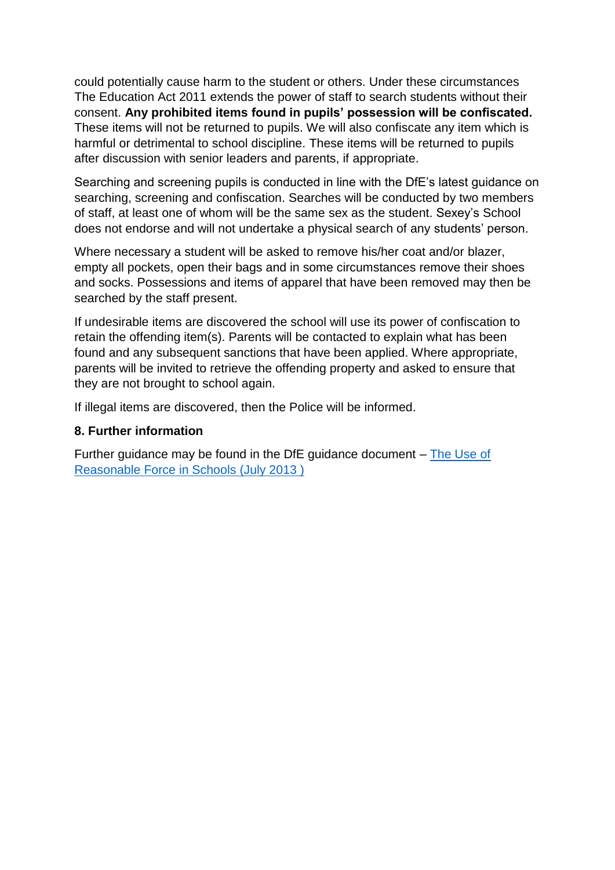could potentially cause harm to the student or others. Under these circumstances The Education Act 2011 extends the power of staff to search students without their consent. **Any prohibited items found in pupils' possession will be confiscated.**  These items will not be returned to pupils. We will also confiscate any item which is harmful or detrimental to school discipline. These items will be returned to pupils after discussion with senior leaders and parents, if appropriate.

Searching and screening pupils is conducted in line with the DfE's latest guidance on searching, screening and confiscation. Searches will be conducted by two members of staff, at least one of whom will be the same sex as the student. Sexey's School does not endorse and will not undertake a physical search of any students' person.

Where necessary a student will be asked to remove his/her coat and/or blazer, empty all pockets, open their bags and in some circumstances remove their shoes and socks. Possessions and items of apparel that have been removed may then be searched by the staff present.

If undesirable items are discovered the school will use its power of confiscation to retain the offending item(s). Parents will be contacted to explain what has been found and any subsequent sanctions that have been applied. Where appropriate, parents will be invited to retrieve the offending property and asked to ensure that they are not brought to school again.

If illegal items are discovered, then the Police will be informed.

#### **8. Further information**

Further guidance may be found in the DfE guidance document – [The Use of](https://www.gov.uk/government/publications/use-of-reasonable-force-in-schools)  [Reasonable Force in Schools \(July 2013 \)](https://www.gov.uk/government/publications/use-of-reasonable-force-in-schools)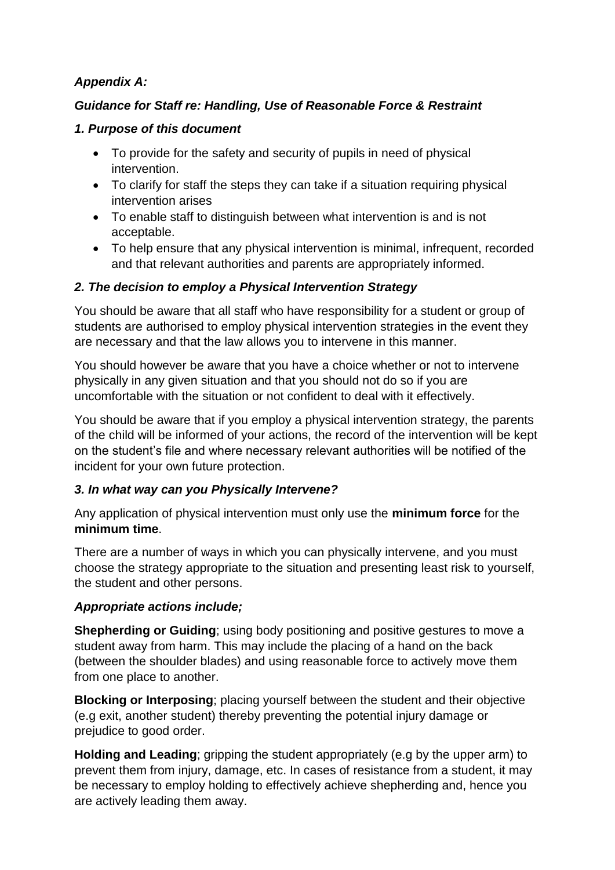# *Appendix A:*

# *Guidance for Staff re: Handling, Use of Reasonable Force & Restraint*

# *1. Purpose of this document*

- To provide for the safety and security of pupils in need of physical intervention.
- To clarify for staff the steps they can take if a situation requiring physical intervention arises
- To enable staff to distinguish between what intervention is and is not acceptable.
- To help ensure that any physical intervention is minimal, infrequent, recorded and that relevant authorities and parents are appropriately informed.

# *2. The decision to employ a Physical Intervention Strategy*

You should be aware that all staff who have responsibility for a student or group of students are authorised to employ physical intervention strategies in the event they are necessary and that the law allows you to intervene in this manner.

You should however be aware that you have a choice whether or not to intervene physically in any given situation and that you should not do so if you are uncomfortable with the situation or not confident to deal with it effectively.

You should be aware that if you employ a physical intervention strategy, the parents of the child will be informed of your actions, the record of the intervention will be kept on the student's file and where necessary relevant authorities will be notified of the incident for your own future protection.

# *3. In what way can you Physically Intervene?*

Any application of physical intervention must only use the **minimum force** for the **minimum time**.

There are a number of ways in which you can physically intervene, and you must choose the strategy appropriate to the situation and presenting least risk to yourself, the student and other persons.

# *Appropriate actions include;*

**Shepherding or Guiding**; using body positioning and positive gestures to move a student away from harm. This may include the placing of a hand on the back (between the shoulder blades) and using reasonable force to actively move them from one place to another.

**Blocking or Interposing**; placing yourself between the student and their objective (e.g exit, another student) thereby preventing the potential injury damage or prejudice to good order.

**Holding and Leading**; gripping the student appropriately (e.g by the upper arm) to prevent them from injury, damage, etc. In cases of resistance from a student, it may be necessary to employ holding to effectively achieve shepherding and, hence you are actively leading them away.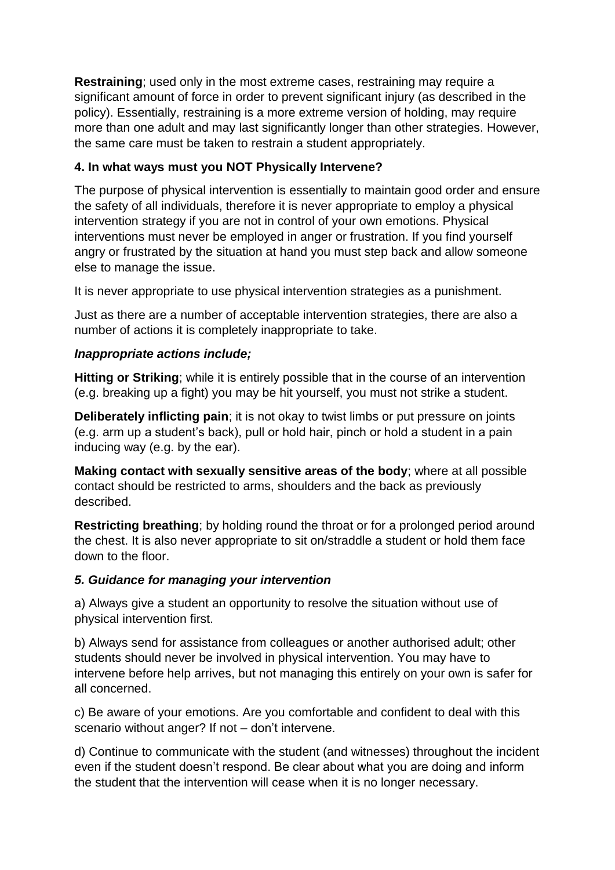**Restraining**; used only in the most extreme cases, restraining may require a significant amount of force in order to prevent significant injury (as described in the policy). Essentially, restraining is a more extreme version of holding, may require more than one adult and may last significantly longer than other strategies. However, the same care must be taken to restrain a student appropriately.

# **4. In what ways must you NOT Physically Intervene?**

The purpose of physical intervention is essentially to maintain good order and ensure the safety of all individuals, therefore it is never appropriate to employ a physical intervention strategy if you are not in control of your own emotions. Physical interventions must never be employed in anger or frustration. If you find yourself angry or frustrated by the situation at hand you must step back and allow someone else to manage the issue.

It is never appropriate to use physical intervention strategies as a punishment.

Just as there are a number of acceptable intervention strategies, there are also a number of actions it is completely inappropriate to take.

# *Inappropriate actions include;*

**Hitting or Striking**; while it is entirely possible that in the course of an intervention (e.g. breaking up a fight) you may be hit yourself, you must not strike a student.

**Deliberately inflicting pain**; it is not okay to twist limbs or put pressure on joints (e.g. arm up a student's back), pull or hold hair, pinch or hold a student in a pain inducing way (e.g. by the ear).

**Making contact with sexually sensitive areas of the body**; where at all possible contact should be restricted to arms, shoulders and the back as previously described.

**Restricting breathing**; by holding round the throat or for a prolonged period around the chest. It is also never appropriate to sit on/straddle a student or hold them face down to the floor.

# *5. Guidance for managing your intervention*

a) Always give a student an opportunity to resolve the situation without use of physical intervention first.

b) Always send for assistance from colleagues or another authorised adult; other students should never be involved in physical intervention. You may have to intervene before help arrives, but not managing this entirely on your own is safer for all concerned.

c) Be aware of your emotions. Are you comfortable and confident to deal with this scenario without anger? If not – don't intervene.

d) Continue to communicate with the student (and witnesses) throughout the incident even if the student doesn't respond. Be clear about what you are doing and inform the student that the intervention will cease when it is no longer necessary.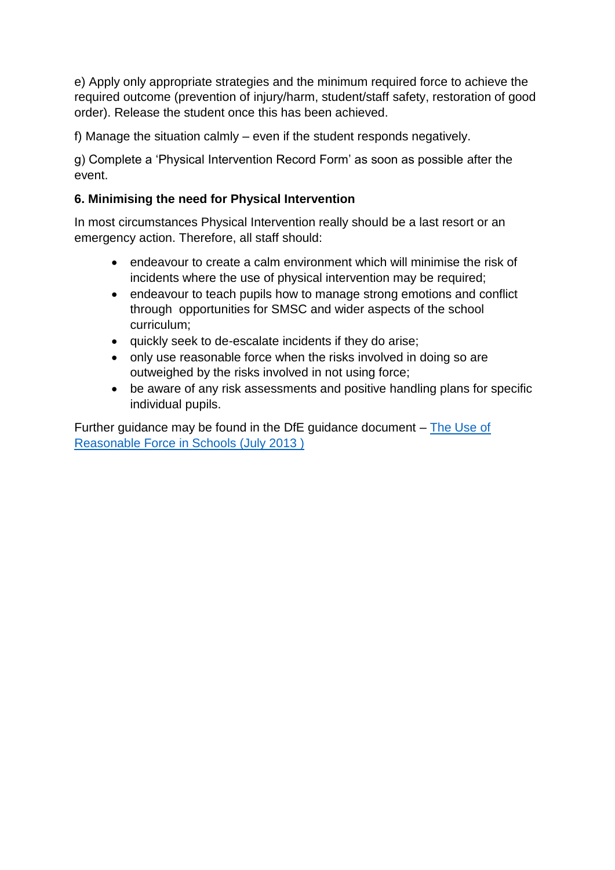e) Apply only appropriate strategies and the minimum required force to achieve the required outcome (prevention of injury/harm, student/staff safety, restoration of good order). Release the student once this has been achieved.

f) Manage the situation calmly – even if the student responds negatively.

g) Complete a 'Physical Intervention Record Form' as soon as possible after the event.

# **6. Minimising the need for Physical Intervention**

In most circumstances Physical Intervention really should be a last resort or an emergency action. Therefore, all staff should:

- endeavour to create a calm environment which will minimise the risk of incidents where the use of physical intervention may be required;
- endeavour to teach pupils how to manage strong emotions and conflict through opportunities for SMSC and wider aspects of the school curriculum;
- quickly seek to de-escalate incidents if they do arise;
- only use reasonable force when the risks involved in doing so are outweighed by the risks involved in not using force;
- be aware of any risk assessments and positive handling plans for specific individual pupils.

Further guidance may be found in the DfE guidance document – [The Use of](https://www.gov.uk/government/publications/use-of-reasonable-force-in-schools)  [Reasonable Force in Schools \(July 2013 \)](https://www.gov.uk/government/publications/use-of-reasonable-force-in-schools)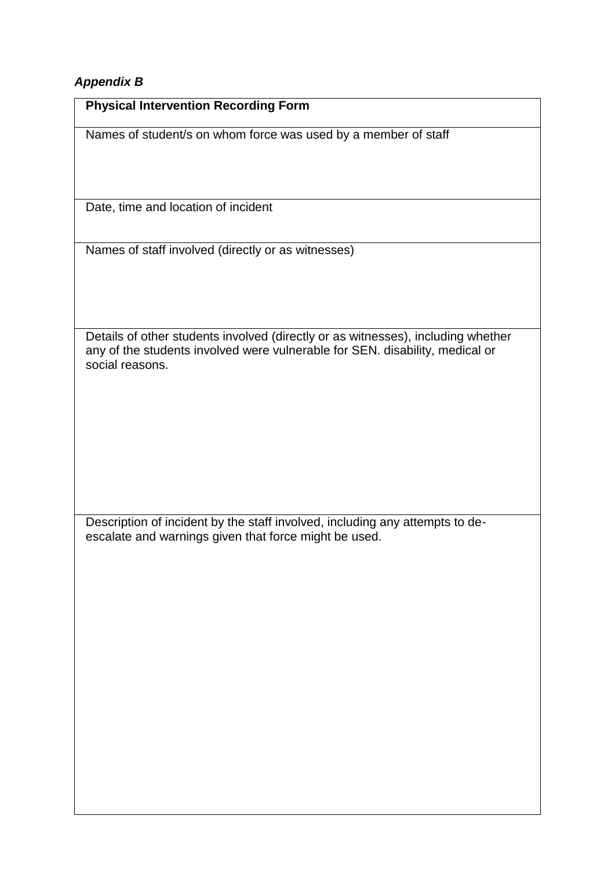# *Appendix B*

| <b>Physical Intervention Recording Form</b>                                                                                                                                         |
|-------------------------------------------------------------------------------------------------------------------------------------------------------------------------------------|
| Names of student/s on whom force was used by a member of staff                                                                                                                      |
| Date, time and location of incident                                                                                                                                                 |
| Names of staff involved (directly or as witnesses)                                                                                                                                  |
| Details of other students involved (directly or as witnesses), including whether<br>any of the students involved were vulnerable for SEN. disability, medical or<br>social reasons. |
| Description of incident by the staff involved, including any attempts to de-<br>escalate and warnings given that force might be used.                                               |